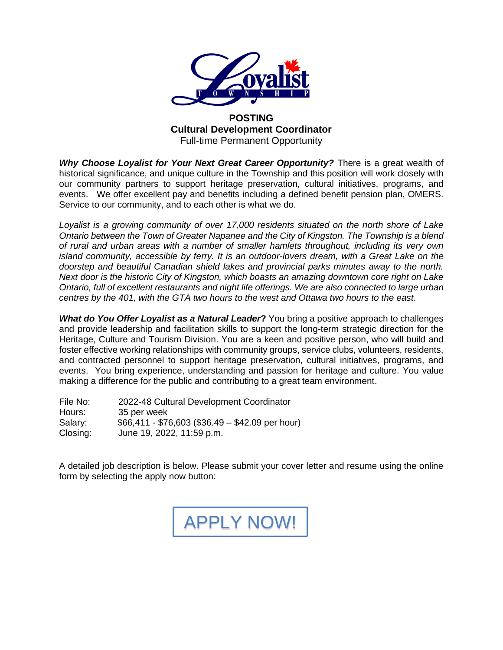

#### **POSTING Cultural Development Coordinator** Full-time Permanent Opportunity

*Why Choose Loyalist for Your Next Great Career Opportunity?* There is a great wealth of historical significance, and unique culture in the Township and this position will work closely with our community partners to support heritage preservation, cultural initiatives, programs, and events. We offer excellent pay and benefits including a defined benefit pension plan, OMERS. Service to our community, and to each other is what we do.

*Loyalist is a growing community of over 17,000 residents situated on the north shore of Lake Ontario between the Town of Greater Napanee and the City of Kingston. The Township is a blend of rural and urban areas with a number of smaller hamlets throughout, including its very own island community, accessible by ferry. It is an outdoor-lovers dream, with a Great Lake on the doorstep and beautiful Canadian shield lakes and provincial parks minutes away to the north. Next door is the historic City of Kingston, which boasts an amazing downtown core right on Lake Ontario, full of excellent restaurants and night life offerings. We are also connected to large urban centres by the 401, with the GTA two hours to the west and Ottawa two hours to the east.* 

*What do You Offer Loyalist as a Natural Leader***?** You bring a positive approach to challenges and provide leadership and facilitation skills to support the long-term strategic direction for the Heritage, Culture and Tourism Division. You are a keen and positive person, who will build and foster effective working relationships with community groups, service clubs, volunteers, residents, and contracted personnel to support heritage preservation, cultural initiatives, programs, and events. You bring experience, understanding and passion for heritage and culture. You value making a difference for the public and contributing to a great team environment.

File No: 2022-48 Cultural Development Coordinator Hours: 35 per week Salary: \$66,411 - \$76,603 (\$36.49 – \$42.09 per hour) Closing: June 19, 2022, 11:59 p.m.

A detailed job description is below. Please submit your cover letter and resume using the online form by selecting the apply now button:

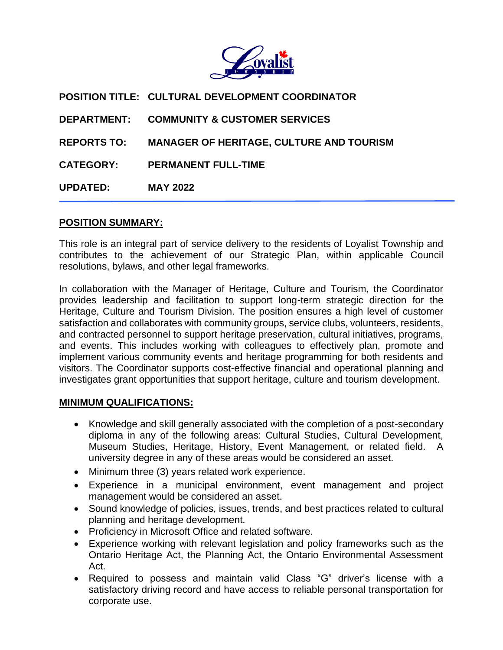

**POSITION TITLE: CULTURAL DEVELOPMENT COORDINATOR DEPARTMENT: COMMUNITY & CUSTOMER SERVICES REPORTS TO: MANAGER OF HERITAGE, CULTURE AND TOURISM CATEGORY: PERMANENT FULL-TIME UPDATED: MAY 2022**

### **POSITION SUMMARY:**

This role is an integral part of service delivery to the residents of Loyalist Township and contributes to the achievement of our Strategic Plan, within applicable Council resolutions, bylaws, and other legal frameworks.

In collaboration with the Manager of Heritage, Culture and Tourism, the Coordinator provides leadership and facilitation to support long-term strategic direction for the Heritage, Culture and Tourism Division. The position ensures a high level of customer satisfaction and collaborates with community groups, service clubs, volunteers, residents, and contracted personnel to support heritage preservation, cultural initiatives, programs, and events. This includes working with colleagues to effectively plan, promote and implement various community events and heritage programming for both residents and visitors. The Coordinator supports cost-effective financial and operational planning and investigates grant opportunities that support heritage, culture and tourism development.

#### **MINIMUM QUALIFICATIONS:**

- Knowledge and skill generally associated with the completion of a post-secondary diploma in any of the following areas: Cultural Studies, Cultural Development, Museum Studies, Heritage, History, Event Management, or related field. A university degree in any of these areas would be considered an asset.
- Minimum three (3) years related work experience.
- Experience in a municipal environment, event management and project management would be considered an asset.
- Sound knowledge of policies, issues, trends, and best practices related to cultural planning and heritage development.
- Proficiency in Microsoft Office and related software.
- Experience working with relevant legislation and policy frameworks such as the Ontario Heritage Act, the Planning Act, the Ontario Environmental Assessment Act.
- Required to possess and maintain valid Class "G" driver's license with a satisfactory driving record and have access to reliable personal transportation for corporate use.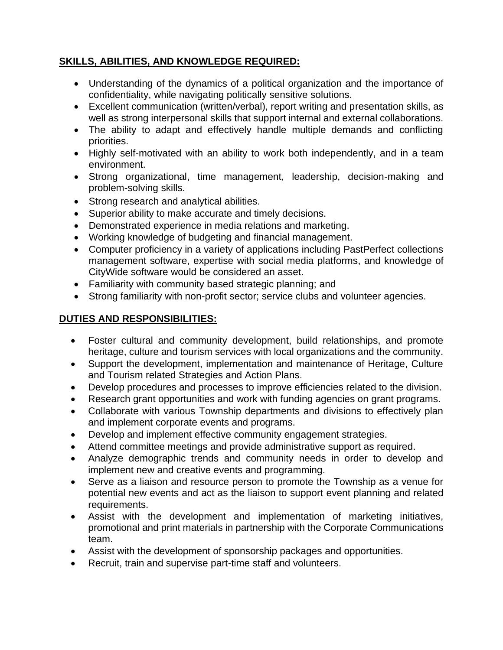### **SKILLS, ABILITIES, AND KNOWLEDGE REQUIRED:**

- Understanding of the dynamics of a political organization and the importance of confidentiality, while navigating politically sensitive solutions.
- Excellent communication (written/verbal), report writing and presentation skills, as well as strong interpersonal skills that support internal and external collaborations.
- The ability to adapt and effectively handle multiple demands and conflicting priorities.
- Highly self-motivated with an ability to work both independently, and in a team environment.
- Strong organizational, time management, leadership, decision-making and problem-solving skills.
- Strong research and analytical abilities.
- Superior ability to make accurate and timely decisions.
- Demonstrated experience in media relations and marketing.
- Working knowledge of budgeting and financial management.
- Computer proficiency in a variety of applications including PastPerfect collections management software, expertise with social media platforms, and knowledge of CityWide software would be considered an asset.
- Familiarity with community based strategic planning; and
- Strong familiarity with non-profit sector; service clubs and volunteer agencies.

# **DUTIES AND RESPONSIBILITIES:**

- Foster cultural and community development, build relationships, and promote heritage, culture and tourism services with local organizations and the community.
- Support the development, implementation and maintenance of Heritage, Culture and Tourism related Strategies and Action Plans.
- Develop procedures and processes to improve efficiencies related to the division.
- Research grant opportunities and work with funding agencies on grant programs.
- Collaborate with various Township departments and divisions to effectively plan and implement corporate events and programs.
- Develop and implement effective community engagement strategies.
- Attend committee meetings and provide administrative support as required.
- Analyze demographic trends and community needs in order to develop and implement new and creative events and programming.
- Serve as a liaison and resource person to promote the Township as a venue for potential new events and act as the liaison to support event planning and related requirements.
- Assist with the development and implementation of marketing initiatives, promotional and print materials in partnership with the Corporate Communications team.
- Assist with the development of sponsorship packages and opportunities.
- Recruit, train and supervise part-time staff and volunteers.